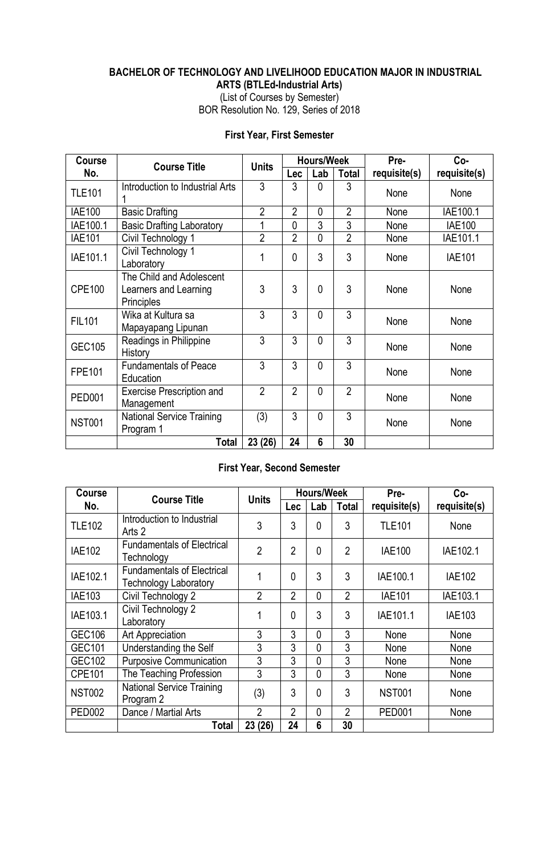# **BACHELOR OF TECHNOLOGY AND LIVELIHOOD EDUCATION MAJOR IN INDUSTRIAL**

**ARTS (BTLEd-Industrial Arts)**

(List of Courses by Semester) BOR Resolution No. 129, Series of 2018

#### **First Year, First Semester**

| Course        | <b>Course Title</b>                                                    | <b>Units</b>   |                | <b>Hours/Week</b> |                | Pre-         | $Co-$         |
|---------------|------------------------------------------------------------------------|----------------|----------------|-------------------|----------------|--------------|---------------|
| No.           |                                                                        |                | Lec            | Lab               | <b>Total</b>   | requisite(s) | requisite(s)  |
| <b>TLE101</b> | Introduction to Industrial Arts                                        | 3              | 3              | $\theta$          | 3              | None         | None          |
| <b>IAE100</b> | <b>Basic Drafting</b>                                                  | $\overline{2}$ | $\overline{2}$ | $\mathbf{0}$      | $\overline{2}$ | None         | IAE100.1      |
| IAE100.1      | <b>Basic Drafting Laboratory</b>                                       | 1              | $\overline{0}$ | 3                 | 3              | None         | <b>IAE100</b> |
| <b>IAE101</b> | Civil Technology 1                                                     | $\overline{2}$ | $\overline{2}$ | $\mathbf{0}$      | $\overline{2}$ | None         | IAE101.1      |
| IAE101.1      | Civil Technology 1<br>Laboratory                                       | 1              | 0              | 3                 | 3              | None         | <b>IAE101</b> |
| <b>CPE100</b> | The Child and Adolescent<br>Learners and Learning<br><b>Principles</b> | 3              | 3              | $\mathbf{0}$      | 3              | None         | None          |
| <b>FIL101</b> | Wika at Kultura sa<br>Mapayapang Lipunan                               | 3              | 3              | $\Omega$          | $\overline{3}$ | None         | None          |
| <b>GEC105</b> | Readings in Philippine<br>History                                      | 3              | 3              | $\mathbf{0}$      | 3              | None         | None          |
| <b>FPE101</b> | <b>Fundamentals of Peace</b><br>Education                              | 3              | 3              | $\mathbf{0}$      | 3              | None         | None          |
| <b>PED001</b> | <b>Exercise Prescription and</b><br>Management                         | $\overline{2}$ | $\overline{2}$ | $\mathbf{0}$      | $\overline{2}$ | None         | None          |
| <b>NST001</b> | <b>National Service Training</b><br>Program 1                          | (3)            | 3              | $\mathbf{0}$      | $\overline{3}$ | None         | None          |
|               | Total                                                                  | 23 (26)        | 24             | $6\phantom{1}6$   | 30             |              |               |

#### **First Year, Second Semester**

| <b>Course</b> | <b>Course Title</b>                                               | <b>Units</b>   |                | <b>Hours/Week</b> |                | Pre-          | Co-           |
|---------------|-------------------------------------------------------------------|----------------|----------------|-------------------|----------------|---------------|---------------|
| No.           |                                                                   |                | <b>Lec</b>     | Lab               | <b>Total</b>   | requisite(s)  | requisite(s)  |
| <b>TLE102</b> | Introduction to Industrial<br>Arts 2                              | 3              | 3              | $\mathbf{0}$      | 3              | <b>TLE101</b> | None          |
| <b>IAE102</b> | <b>Fundamentals of Electrical</b><br>Technology                   | $\overline{2}$ | $\overline{2}$ | $\mathbf{0}$      | $\overline{2}$ | <b>IAE100</b> | IAE102.1      |
| IAE102.1      | <b>Fundamentals of Electrical</b><br><b>Technology Laboratory</b> |                | $\mathbf{0}$   | 3                 | 3              | IAE100.1      | <b>IAE102</b> |
| <b>IAE103</b> | Civil Technology 2                                                | $\overline{2}$ | $\overline{2}$ | 0                 | $\overline{2}$ | <b>IAE101</b> | IAE103.1      |
| IAE103.1      | Civil Technology 2<br>Laboratory                                  |                | $\mathbf{0}$   | 3                 | 3              | IAE101.1      | <b>IAE103</b> |
| <b>GEC106</b> | Art Appreciation                                                  | 3              | 3              | 0                 | 3              | None          | None          |
| <b>GEC101</b> | Understanding the Self                                            | 3              | 3              | 0                 | 3              | None          | None          |
| <b>GEC102</b> | <b>Purposive Communication</b>                                    | 3              | 3              | 0                 | 3              | None          | None          |
| <b>CPE101</b> | The Teaching Profession                                           | 3              | 3              | 0                 | 3              | None          | None          |
| <b>NST002</b> | <b>National Service Training</b><br>Program 2                     | (3)            | 3              | 0                 | 3              | <b>NST001</b> | None          |
| <b>PED002</b> | Dance / Martial Arts                                              | $\mathfrak{p}$ | $\overline{2}$ | 0                 | $\overline{2}$ | <b>PED001</b> | None          |
|               | Total                                                             | 23 (26)        | 24             | 6                 | 30             |               |               |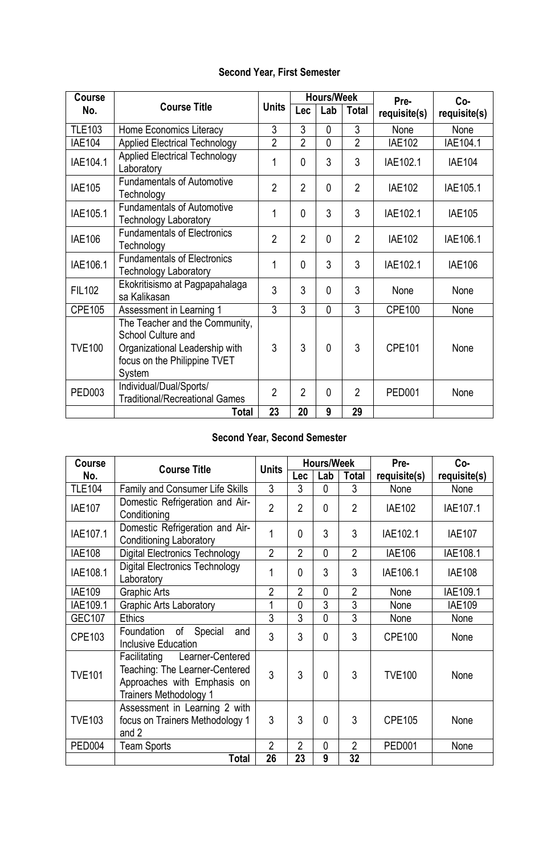## **Second Year, First Semester**

| <b>Course</b> |                                                                                                                                  |                |                | <b>Hours/Week</b> |                | Pre-          | $Co-$         |
|---------------|----------------------------------------------------------------------------------------------------------------------------------|----------------|----------------|-------------------|----------------|---------------|---------------|
| No.           | <b>Course Title</b>                                                                                                              | <b>Units</b>   | Lec            | Lab               | <b>Total</b>   | requisite(s)  | requisite(s)  |
| <b>TLE103</b> | Home Economics Literacy                                                                                                          | 3              | $\overline{3}$ | 0                 | 3              | None          | None          |
| <b>IAE104</b> | <b>Applied Electrical Technology</b>                                                                                             | $\overline{2}$ | $\overline{2}$ | $\overline{0}$    | $\overline{2}$ | <b>IAE102</b> | IAE104.1      |
| IAE104.1      | <b>Applied Electrical Technology</b><br>Laboratory                                                                               | 1              | $\mathbf{0}$   | 3                 | 3              | IAE102.1      | <b>IAE104</b> |
| <b>IAE105</b> | <b>Fundamentals of Automotive</b><br>Technology                                                                                  | $\overline{2}$ | $\overline{2}$ | 0                 | $\overline{2}$ | <b>IAE102</b> | IAE105.1      |
| IAE105.1      | <b>Fundamentals of Automotive</b><br><b>Technology Laboratory</b>                                                                | 1              | $\mathbf{0}$   | 3                 | 3              | IAE102.1      | <b>IAE105</b> |
| <b>IAE106</b> | <b>Fundamentals of Electronics</b><br>Technology                                                                                 | $\overline{2}$ | $\overline{2}$ | $\overline{0}$    | $\overline{2}$ | <b>IAE102</b> | IAE106.1      |
| IAE106.1      | <b>Fundamentals of Electronics</b><br><b>Technology Laboratory</b>                                                               | 1              | $\mathbf{0}$   | 3                 | 3              | IAE102.1      | <b>IAE106</b> |
| <b>FIL102</b> | Ekokritisismo at Pagpapahalaga<br>sa Kalikasan                                                                                   | 3              | 3              | 0                 | 3              | None          | None          |
| <b>CPE105</b> | Assessment in Learning 1                                                                                                         | $\overline{3}$ | $\overline{3}$ | 0                 | 3              | <b>CPE100</b> | None          |
| <b>TVE100</b> | The Teacher and the Community,<br>School Culture and<br>Organizational Leadership with<br>focus on the Philippine TVET<br>System | 3              | 3              | 0                 | 3              | <b>CPE101</b> | None          |
| PED003        | Individual/Dual/Sports/<br><b>Traditional/Recreational Games</b>                                                                 | $\overline{2}$ | $\overline{2}$ | $\Omega$          | $\overline{2}$ | <b>PED001</b> | None          |
|               | Total                                                                                                                            | 23             | 20             | 9                 | 29             |               |               |

## **Second Year, Second Semester**

| Course        | <b>Course Title</b>                                                                                                                | <b>Units</b>   |                | <b>Hours/Week</b> |                | Pre-          | $Co-$         |
|---------------|------------------------------------------------------------------------------------------------------------------------------------|----------------|----------------|-------------------|----------------|---------------|---------------|
| No.           |                                                                                                                                    |                | Lec            | Lab               | <b>Total</b>   | requisite(s)  | requisite(s)  |
| <b>TLE104</b> | <b>Family and Consumer Life Skills</b>                                                                                             | 3              | 3              | $\mathbf{0}$      | 3              | None          | None          |
| <b>IAE107</b> | Domestic Refrigeration and Air-<br>Conditioning                                                                                    | $\overline{2}$ | $\overline{2}$ | $\mathbf{0}$      | $\overline{2}$ | <b>IAE102</b> | IAE107.1      |
| IAE107.1      | Domestic Refrigeration and Air-<br><b>Conditioning Laboratory</b>                                                                  | 1              | 0              | 3                 | 3              | IAE102.1      | <b>IAE107</b> |
| <b>IAE108</b> | <b>Digital Electronics Technology</b>                                                                                              | $\overline{2}$ | $\overline{2}$ | $\Omega$          | $\overline{2}$ | <b>IAE106</b> | IAE108.1      |
| IAE108.1      | <b>Digital Electronics Technology</b><br>Laboratory                                                                                | 1              | 0              | 3                 | 3              | IAE106.1      | <b>IAE108</b> |
| <b>IAE109</b> | <b>Graphic Arts</b>                                                                                                                | $\overline{2}$ | $\overline{2}$ | $\mathbf{0}$      | $\overline{2}$ | None          | IAE109.1      |
| IAE109.1      | <b>Graphic Arts Laboratory</b>                                                                                                     | 1              | $\Omega$       | $\overline{3}$    | $\overline{3}$ | None          | <b>IAE109</b> |
| <b>GEC107</b> | <b>Ethics</b>                                                                                                                      | 3              | 3              | $\mathbf{0}$      | 3              | None          | None          |
| CPE103        | Special<br>Foundation<br>of<br>and<br><b>Inclusive Education</b>                                                                   | 3              | 3              | $\mathbf{0}$      | 3              | <b>CPE100</b> | None          |
| <b>TVE101</b> | Facilitating<br>Learner-Centered<br>Teaching: The Learner-Centered<br>Approaches with Emphasis on<br><b>Trainers Methodology 1</b> | 3              | 3              | $\mathbf{0}$      | 3              | <b>TVE100</b> | None          |
| <b>TVE103</b> | Assessment in Learning 2 with<br>focus on Trainers Methodology 1<br>and 2                                                          | 3              | 3              | $\mathbf{0}$      | 3              | <b>CPE105</b> | None          |
| <b>PED004</b> | <b>Team Sports</b>                                                                                                                 | $\overline{2}$ | $\overline{2}$ | $\mathbf{0}$      | $\overline{2}$ | <b>PED001</b> | None          |
|               | <b>Total</b>                                                                                                                       | 26             | 23             | 9                 | 32             |               |               |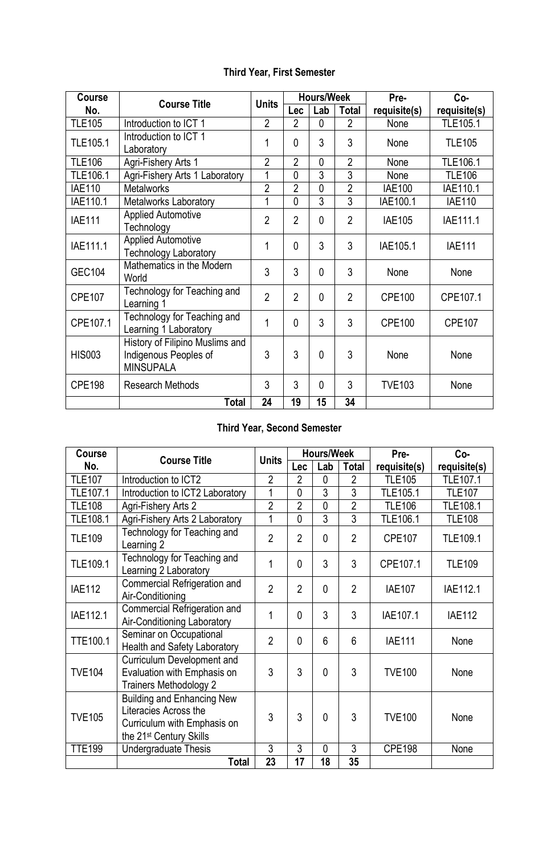#### **Third Year, First Semester**

| Course          | <b>Course Title</b>                                                          | <b>Units</b>   |                | <b>Hours/Week</b> |                | Pre-          | Co-           |
|-----------------|------------------------------------------------------------------------------|----------------|----------------|-------------------|----------------|---------------|---------------|
| No.             |                                                                              |                | Lec            | Lab               | Total          | requisite(s)  | requisite(s)  |
| <b>TLE105</b>   | Introduction to ICT 1                                                        | $\overline{2}$ | $\overline{2}$ | $\mathbf{0}$      | $\overline{2}$ | None          | TLE105.1      |
| TLE105.1        | Introduction to ICT 1<br>Laboratory                                          | 1              | 0              | 3                 | 3              | None          | <b>TLE105</b> |
| <b>TLE106</b>   | Agri-Fishery Arts 1                                                          | $\overline{2}$ | $\overline{2}$ | 0                 | $\overline{2}$ | None          | TLE106.1      |
| <b>TLE106.1</b> | Agri-Fishery Arts 1 Laboratory                                               | 1              | $\overline{0}$ | 3                 | 3              | None          | <b>TLE106</b> |
| <b>IAE110</b>   | <b>Metalworks</b>                                                            | $\overline{2}$ | $\overline{2}$ | $\overline{0}$    | $\overline{2}$ | <b>IAE100</b> | IAE110.1      |
| IAE110.1        | <b>Metalworks Laboratory</b>                                                 | 1              | $\overline{0}$ | $\overline{3}$    | $\overline{3}$ | IAE100.1      | <b>IAE110</b> |
| <b>IAE111</b>   | <b>Applied Automotive</b><br>Technology                                      | $\overline{2}$ | $\overline{2}$ | 0                 | $\overline{2}$ | <b>IAE105</b> | IAE111.1      |
| IAE111.1        | <b>Applied Automotive</b><br><b>Technology Laboratory</b>                    | 1              | $\mathbf{0}$   | 3                 | 3              | IAE105.1      | <b>IAE111</b> |
| <b>GEC104</b>   | Mathematics in the Modern<br>World                                           | 3              | 3              | $\mathbf{0}$      | 3              | None          | None          |
| <b>CPE107</b>   | Technology for Teaching and<br>Learning 1                                    | $\overline{2}$ | $\overline{2}$ | $\mathbf{0}$      | $\overline{2}$ | <b>CPE100</b> | CPE107.1      |
| CPE107.1        | Technology for Teaching and<br>Learning 1 Laboratory                         | 1              | $\Omega$       | 3                 | 3              | <b>CPE100</b> | <b>CPE107</b> |
| <b>HIS003</b>   | History of Filipino Muslims and<br>Indigenous Peoples of<br><b>MINSUPALA</b> | 3              | 3              | $\Omega$          | 3              | None          | None          |
| <b>CPE198</b>   | <b>Research Methods</b>                                                      | 3              | 3              | $\Omega$          | 3              | <b>TVE103</b> | None          |
|                 | Total                                                                        | 24             | 19             | 15                | 34             |               |               |

# **Third Year, Second Semester**

| Course          | <b>Course Title</b>                                                                                                              | <b>Units</b>   |                | <b>Hours/Week</b> |                | Pre-          | $Co-$         |
|-----------------|----------------------------------------------------------------------------------------------------------------------------------|----------------|----------------|-------------------|----------------|---------------|---------------|
| No.             |                                                                                                                                  |                | Lec            | Lab               | <b>Total</b>   | requisite(s)  | requisite(s)  |
| <b>TLE107</b>   | Introduction to ICT2                                                                                                             | $\overline{2}$ | $\overline{2}$ | $\mathbf{0}$      | $\overline{2}$ | <b>TLE105</b> | TLE107.1      |
| TLE107.1        | Introduction to ICT2 Laboratory                                                                                                  | 1              | 0              | 3                 | $\overline{3}$ | TLE105.1      | <b>TLE107</b> |
| <b>TLE108</b>   | Agri-Fishery Arts 2                                                                                                              | $\overline{2}$ | $\overline{2}$ | $\overline{0}$    | $\overline{2}$ | <b>TLE106</b> | TLE108.1      |
| <b>TLE108.1</b> | Agri-Fishery Arts 2 Laboratory                                                                                                   | 1              | $\overline{0}$ | $\overline{3}$    | $\overline{3}$ | TLE106.1      | <b>TLE108</b> |
| <b>TLE109</b>   | Technology for Teaching and<br>Learning 2                                                                                        | $\overline{2}$ | $\overline{2}$ | $\mathbf{0}$      | $\overline{2}$ | <b>CPE107</b> | TLE109.1      |
| TLE109.1        | Technology for Teaching and<br>Learning 2 Laboratory                                                                             | 1              | 0              | 3                 | 3              | CPE107.1      | <b>TLE109</b> |
| <b>IAE112</b>   | Commercial Refrigeration and<br>Air-Conditioning                                                                                 | $\overline{2}$ | $\overline{2}$ | $\mathbf{0}$      | $\overline{2}$ | <b>IAE107</b> | IAE112.1      |
| IAE112.1        | <b>Commercial Refrigeration and</b><br>Air-Conditioning Laboratory                                                               | 1              | 0              | 3                 | 3              | IAE107.1      | <b>IAE112</b> |
| <b>TTE100.1</b> | Seminar on Occupational<br><b>Health and Safety Laboratory</b>                                                                   | $\overline{2}$ | $\mathbf{0}$   | 6                 | 6              | <b>IAE111</b> | None          |
| <b>TVE104</b>   | Curriculum Development and<br>Evaluation with Emphasis on<br><b>Trainers Methodology 2</b>                                       | 3              | 3              | $\mathbf{0}$      | 3              | <b>TVE100</b> | None          |
| <b>TVE105</b>   | <b>Building and Enhancing New</b><br>Literacies Across the<br>Curriculum with Emphasis on<br>the 21 <sup>st</sup> Century Skills | 3              | 3              | $\mathbf{0}$      | 3              | <b>TVE100</b> | None          |
| <b>TTE199</b>   | Undergraduate Thesis                                                                                                             | 3              | 3              | $\mathbf{0}$      | 3              | <b>CPE198</b> | None          |
|                 | <b>Total</b>                                                                                                                     | 23             | 17             | 18                | 35             |               |               |